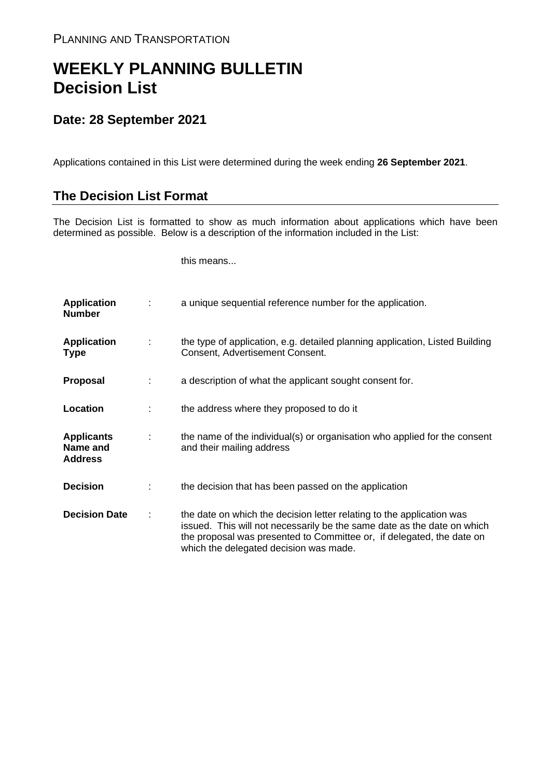## **WEEKLY PLANNING BULLETIN Decision List**

## **Date: 28 September 2021**

Applications contained in this List were determined during the week ending **26 September 2021**.

## **The Decision List Format**

The Decision List is formatted to show as much information about applications which have been determined as possible. Below is a description of the information included in the List:

this means...

| <b>Application</b><br><b>Number</b>             |   | a unique sequential reference number for the application.                                                                                                                                                                                                           |
|-------------------------------------------------|---|---------------------------------------------------------------------------------------------------------------------------------------------------------------------------------------------------------------------------------------------------------------------|
| <b>Application</b><br><b>Type</b>               | ÷ | the type of application, e.g. detailed planning application, Listed Building<br>Consent, Advertisement Consent.                                                                                                                                                     |
| Proposal                                        |   | a description of what the applicant sought consent for.                                                                                                                                                                                                             |
| Location                                        |   | the address where they proposed to do it                                                                                                                                                                                                                            |
| <b>Applicants</b><br>Name and<br><b>Address</b> | ÷ | the name of the individual(s) or organisation who applied for the consent<br>and their mailing address                                                                                                                                                              |
| <b>Decision</b>                                 |   | the decision that has been passed on the application                                                                                                                                                                                                                |
| <b>Decision Date</b>                            |   | the date on which the decision letter relating to the application was<br>issued. This will not necessarily be the same date as the date on which<br>the proposal was presented to Committee or, if delegated, the date on<br>which the delegated decision was made. |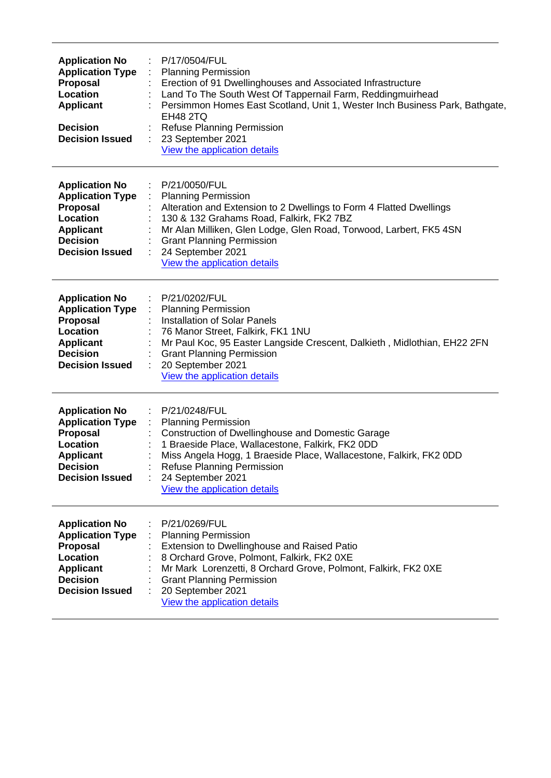| <b>Application No</b><br><b>Application Type</b><br>Proposal<br>Location<br><b>Applicant</b><br><b>Decision</b><br><b>Decision Issued</b>        | P/17/0504/FUL<br><b>Planning Permission</b><br>Erection of 91 Dwellinghouses and Associated Infrastructure<br>Land To The South West Of Tappernail Farm, Reddingmuirhead<br>Persimmon Homes East Scotland, Unit 1, Wester Inch Business Park, Bathgate,<br><b>EH48 2TQ</b><br><b>Refuse Planning Permission</b><br>23 September 2021<br>View the application details |
|--------------------------------------------------------------------------------------------------------------------------------------------------|----------------------------------------------------------------------------------------------------------------------------------------------------------------------------------------------------------------------------------------------------------------------------------------------------------------------------------------------------------------------|
| <b>Application No</b><br><b>Application Type</b><br>Proposal<br>Location<br><b>Applicant</b><br><b>Decision</b><br><b>Decision Issued</b>        | P/21/0050/FUL<br><b>Planning Permission</b><br>Alteration and Extension to 2 Dwellings to Form 4 Flatted Dwellings<br>130 & 132 Grahams Road, Falkirk, FK2 7BZ<br>Mr Alan Milliken, Glen Lodge, Glen Road, Torwood, Larbert, FK5 4SN<br><b>Grant Planning Permission</b><br>24 September 2021<br>View the application details                                        |
| <b>Application No</b><br><b>Application Type</b><br>Proposal<br>Location<br><b>Applicant</b><br><b>Decision</b><br><b>Decision Issued</b>        | P/21/0202/FUL<br><b>Planning Permission</b><br><b>Installation of Solar Panels</b><br>76 Manor Street, Falkirk, FK1 1NU<br>Mr Paul Koc, 95 Easter Langside Crescent, Dalkieth, Midlothian, EH22 2FN<br><b>Grant Planning Permission</b><br>20 September 2021<br>View the application details                                                                         |
| <b>Application No</b><br><b>Application Type</b><br><b>Proposal</b><br>Location<br><b>Applicant</b><br><b>Decision</b><br><b>Decision Issued</b> | P/21/0248/FUL<br><b>Planning Permission</b><br><b>Construction of Dwellinghouse and Domestic Garage</b><br>1 Braeside Place, Wallacestone, Falkirk, FK2 0DD<br>Miss Angela Hogg, 1 Braeside Place, Wallacestone, Falkirk, FK2 0DD<br><b>Refuse Planning Permission</b><br>24 September 2021<br>÷<br>View the application details                                     |
| <b>Application No</b><br><b>Application Type</b><br><b>Proposal</b><br>Location<br><b>Applicant</b><br><b>Decision</b><br><b>Decision Issued</b> | P/21/0269/FUL<br><b>Planning Permission</b><br>Extension to Dwellinghouse and Raised Patio<br>8 Orchard Grove, Polmont, Falkirk, FK2 0XE<br>Mr Mark Lorenzetti, 8 Orchard Grove, Polmont, Falkirk, FK2 0XE<br><b>Grant Planning Permission</b><br>20 September 2021<br>View the application details                                                                  |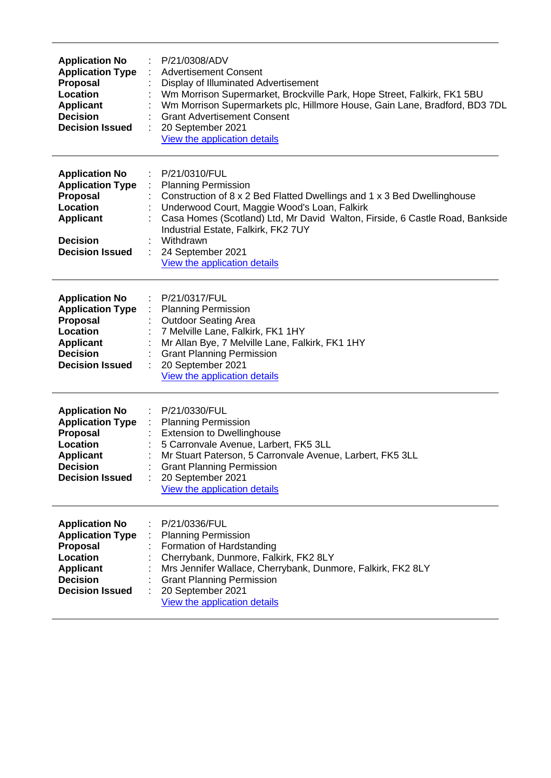| <b>Application No</b><br><b>Application Type</b><br>Proposal<br>Location<br><b>Applicant</b><br><b>Decision</b><br><b>Decision Issued</b>        | P/21/0308/ADV<br><b>Advertisement Consent</b><br>Display of Illuminated Advertisement<br>Wm Morrison Supermarket, Brockville Park, Hope Street, Falkirk, FK1 5BU<br>Wm Morrison Supermarkets plc, Hillmore House, Gain Lane, Bradford, BD3 7DL<br><b>Grant Advertisement Consent</b><br>20 September 2021<br>View the application details                       |
|--------------------------------------------------------------------------------------------------------------------------------------------------|-----------------------------------------------------------------------------------------------------------------------------------------------------------------------------------------------------------------------------------------------------------------------------------------------------------------------------------------------------------------|
| <b>Application No</b><br><b>Application Type</b><br>Proposal<br>Location<br><b>Applicant</b><br><b>Decision</b><br><b>Decision Issued</b>        | P/21/0310/FUL<br><b>Planning Permission</b><br>Construction of 8 x 2 Bed Flatted Dwellings and 1 x 3 Bed Dwellinghouse<br>Underwood Court, Maggie Wood's Loan, Falkirk<br>Casa Homes (Scotland) Ltd, Mr David Walton, Firside, 6 Castle Road, Bankside<br>Industrial Estate, Falkirk, FK2 7UY<br>Withdrawn<br>24 September 2021<br>View the application details |
| <b>Application No</b><br><b>Application Type</b><br>Proposal<br>Location<br><b>Applicant</b><br><b>Decision</b><br><b>Decision Issued</b>        | P/21/0317/FUL<br><b>Planning Permission</b><br><b>Outdoor Seating Area</b><br>7 Melville Lane, Falkirk, FK1 1HY<br>Mr Allan Bye, 7 Melville Lane, Falkirk, FK1 1HY<br><b>Grant Planning Permission</b><br>20 September 2021<br>View the application details                                                                                                     |
| <b>Application No</b><br><b>Application Type</b><br><b>Proposal</b><br>Location<br><b>Applicant</b><br><b>Decision</b><br><b>Decision Issued</b> | P/21/0330/FUL<br><b>Planning Permission</b><br><b>Extension to Dwellinghouse</b><br>5 Carronvale Avenue, Larbert, FK5 3LL<br>Mr Stuart Paterson, 5 Carronvale Avenue, Larbert, FK5 3LL<br><b>Grant Planning Permission</b><br>20 September 2021<br>View the application details                                                                                 |
| <b>Application No</b><br><b>Application Type</b><br>Proposal<br>Location<br><b>Applicant</b><br><b>Decision</b><br><b>Decision Issued</b>        | P/21/0336/FUL<br><b>Planning Permission</b><br>Formation of Hardstanding<br>Cherrybank, Dunmore, Falkirk, FK2 8LY<br>Mrs Jennifer Wallace, Cherrybank, Dunmore, Falkirk, FK2 8LY<br><b>Grant Planning Permission</b><br>20 September 2021<br>View the application details                                                                                       |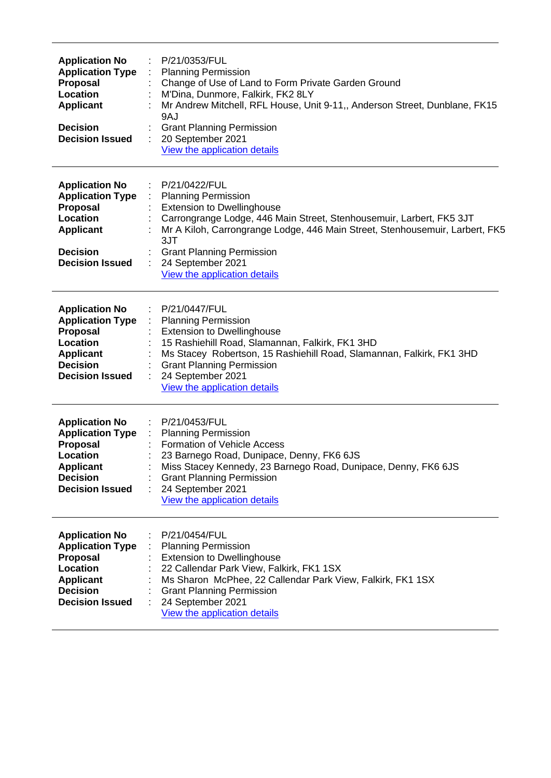| <b>Application No</b><br><b>Application Type</b><br>Proposal<br>Location<br><b>Applicant</b><br><b>Decision</b><br><b>Decision Issued</b>        | P/21/0353/FUL<br><b>Planning Permission</b><br>Change of Use of Land to Form Private Garden Ground<br>M'Dina, Dunmore, Falkirk, FK2 8LY<br>Mr Andrew Mitchell, RFL House, Unit 9-11,, Anderson Street, Dunblane, FK15<br>9AJ<br><b>Grant Planning Permission</b><br>20 September 2021<br>View the application details                    |
|--------------------------------------------------------------------------------------------------------------------------------------------------|------------------------------------------------------------------------------------------------------------------------------------------------------------------------------------------------------------------------------------------------------------------------------------------------------------------------------------------|
| <b>Application No</b><br><b>Application Type</b><br>Proposal<br>Location<br><b>Applicant</b><br><b>Decision</b><br><b>Decision Issued</b>        | P/21/0422/FUL<br><b>Planning Permission</b><br><b>Extension to Dwellinghouse</b><br>Carrongrange Lodge, 446 Main Street, Stenhousemuir, Larbert, FK5 3JT<br>Mr A Kiloh, Carrongrange Lodge, 446 Main Street, Stenhousemuir, Larbert, FK5<br>3JT<br><b>Grant Planning Permission</b><br>24 September 2021<br>View the application details |
| <b>Application No</b><br><b>Application Type</b><br><b>Proposal</b><br>Location<br><b>Applicant</b><br><b>Decision</b><br><b>Decision Issued</b> | P/21/0447/FUL<br><b>Planning Permission</b><br><b>Extension to Dwellinghouse</b><br>15 Rashiehill Road, Slamannan, Falkirk, FK1 3HD<br>Ms Stacey Robertson, 15 Rashiehill Road, Slamannan, Falkirk, FK1 3HD<br><b>Grant Planning Permission</b><br>24 September 2021<br>View the application details                                     |
| <b>Application No</b><br><b>Application Type</b><br><b>Proposal</b><br>Location<br><b>Applicant</b><br><b>Decision</b><br><b>Decision Issued</b> | P/21/0453/FUL<br><b>Planning Permission</b><br>$\mathcal{I}^{\mathcal{I}}$ .<br><b>Formation of Vehicle Access</b><br>23 Barnego Road, Dunipace, Denny, FK6 6JS<br>Miss Stacey Kennedy, 23 Barnego Road, Dunipace, Denny, FK6 6JS<br><b>Grant Planning Permission</b><br>24 September 2021<br>View the application details               |
| <b>Application No</b><br><b>Application Type</b><br>Proposal<br>Location<br><b>Applicant</b><br><b>Decision</b><br><b>Decision Issued</b>        | P/21/0454/FUL<br><b>Planning Permission</b><br><b>Extension to Dwellinghouse</b><br>22 Callendar Park View, Falkirk, FK1 1SX<br>Ms Sharon McPhee, 22 Callendar Park View, Falkirk, FK1 1SX<br><b>Grant Planning Permission</b><br>24 September 2021<br>View the application details                                                      |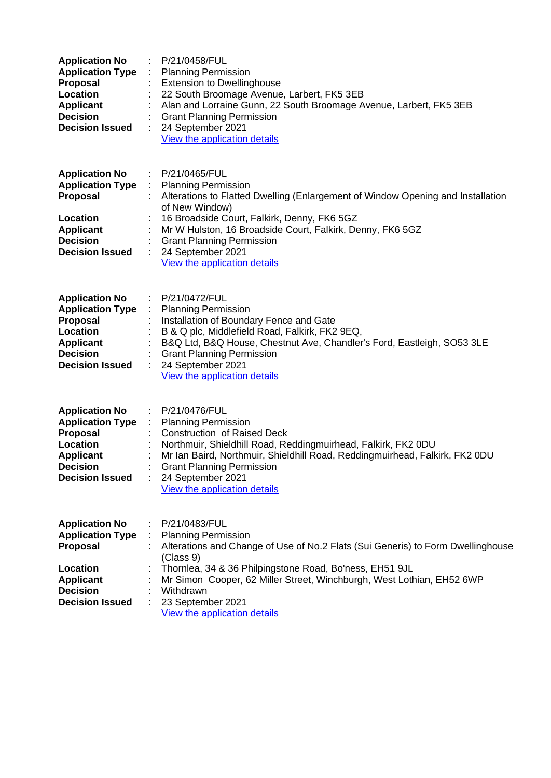| <b>Application No</b><br><b>Application Type</b><br>Proposal<br>Location<br><b>Applicant</b><br><b>Decision</b><br><b>Decision Issued</b>        | P/21/0458/FUL<br><b>Planning Permission</b><br><b>Extension to Dwellinghouse</b><br>22 South Broomage Avenue, Larbert, FK5 3EB<br>Alan and Lorraine Gunn, 22 South Broomage Avenue, Larbert, FK5 3EB<br><b>Grant Planning Permission</b><br>24 September 2021<br>View the application details                                                         |
|--------------------------------------------------------------------------------------------------------------------------------------------------|-------------------------------------------------------------------------------------------------------------------------------------------------------------------------------------------------------------------------------------------------------------------------------------------------------------------------------------------------------|
| <b>Application No</b><br><b>Application Type</b><br>Proposal<br>Location<br><b>Applicant</b><br><b>Decision</b><br><b>Decision Issued</b>        | P/21/0465/FUL<br><b>Planning Permission</b><br>Alterations to Flatted Dwelling (Enlargement of Window Opening and Installation<br>of New Window)<br>16 Broadside Court, Falkirk, Denny, FK6 5GZ<br>Mr W Hulston, 16 Broadside Court, Falkirk, Denny, FK6 5GZ<br><b>Grant Planning Permission</b><br>24 September 2021<br>View the application details |
| <b>Application No</b><br><b>Application Type</b><br>Proposal<br>Location<br><b>Applicant</b><br><b>Decision</b><br><b>Decision Issued</b>        | P/21/0472/FUL<br><b>Planning Permission</b><br>Installation of Boundary Fence and Gate<br>B & Q plc, Middlefield Road, Falkirk, FK2 9EQ,<br>B&Q Ltd, B&Q House, Chestnut Ave, Chandler's Ford, Eastleigh, SO53 3LE<br><b>Grant Planning Permission</b><br>24 September 2021<br>View the application details                                           |
| <b>Application No</b><br><b>Application Type</b><br>Proposal<br>Location<br><b>Applicant</b><br><b>Decision</b><br><b>Decision Issued</b>        | P/21/0476/FUL<br><b>Planning Permission</b><br><b>Construction of Raised Deck</b><br>Northmuir, Shieldhill Road, Reddingmuirhead, Falkirk, FK2 0DU<br>Mr Ian Baird, Northmuir, Shieldhill Road, Reddingmuirhead, Falkirk, FK2 0DU<br><b>Grant Planning Permission</b><br>24 September 2021<br>View the application details                            |
| <b>Application No</b><br><b>Application Type</b><br><b>Proposal</b><br>Location<br><b>Applicant</b><br><b>Decision</b><br><b>Decision Issued</b> | P/21/0483/FUL<br><b>Planning Permission</b><br>Alterations and Change of Use of No.2 Flats (Sui Generis) to Form Dwellinghouse<br>(Class 9)<br>Thornlea, 34 & 36 Philpingstone Road, Bo'ness, EH51 9JL<br>Mr Simon Cooper, 62 Miller Street, Winchburgh, West Lothian, EH52 6WP<br>Withdrawn<br>23 September 2021<br>View the application details     |